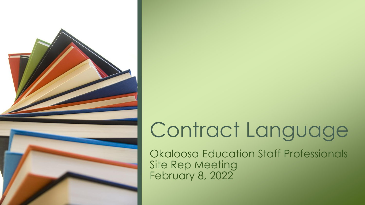

# Contract Language

Okaloosa Education Staff Professionals Site Rep Meeting February 8, 2022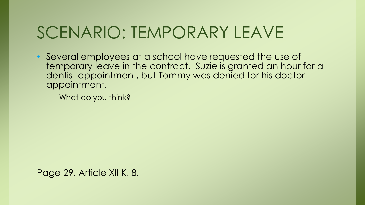## SCENARIO: TEMPORARY LEAVE

• Several employees at a school have requested the use of temporary leave in the contract. Suzie is granted an hour for a dentist appointment, but Tommy was denied for his doctor appointment.

– What do you think?

Page 29, Article XII K. 8.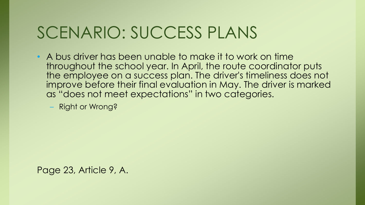#### SCENARIO: SUCCESS PLANS

- A bus driver has been unable to make it to work on time throughout the school year. In April, the route coordinator puts the employee on a success plan. The driver's timeliness does not improve before their final evaluation in May. The driver is marked as "does not meet expectations" in two categories.
	- Right or Wrong?

Page 23, Article 9, A.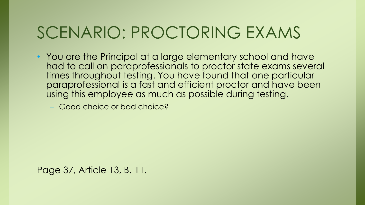## SCENARIO: PROCTORING EXAMS

• You are the Principal at a large elementary school and have had to call on paraprofessionals to proctor state exams several times throughout testing. You have found that one particular paraprofessional is a fast and efficient proctor and have been using this employee as much as possible during testing.

– Good choice or bad choice?

Page 37, Article 13, B. 11.